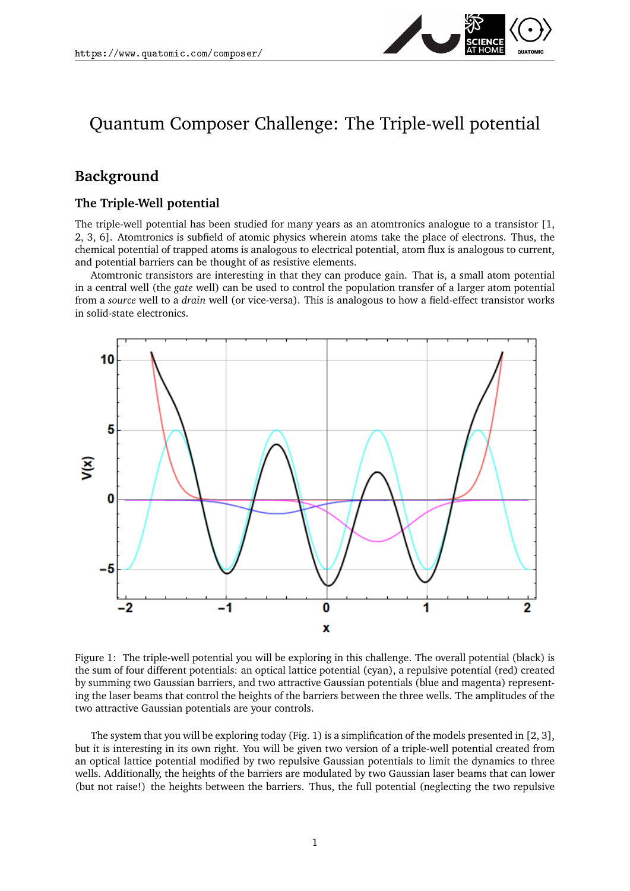

# Quantum Composer Challenge: The Triple-well potential

## **Background**

#### **The Triple-Well potential**

The triple-well potential has been studied for many years as an atomtronics analogue to a transistor [\[1,](#page-3-0) [2,](#page-3-1) [3,](#page-3-2) [6\]](#page-3-3). Atomtronics is subfield of atomic physics wherein atoms take the place of electrons. Thus, the chemical potential of trapped atoms is analogous to electrical potential, atom flux is analogous to current, and potential barriers can be thought of as resistive elements.

Atomtronic transistors are interesting in that they can produce gain. That is, a small atom potential in a central well (the *gate* well) can be used to control the population transfer of a larger atom potential from a *source* well to a *drain* well (or vice-versa). This is analogous to how a field-effect transistor works in solid-state electronics.



<span id="page-0-0"></span>Figure 1: The triple-well potential you will be exploring in this challenge. The overall potential (black) is the sum of four different potentials: an optical lattice potential (cyan), a repulsive potential (red) created by summing two Gaussian barriers, and two attractive Gaussian potentials (blue and magenta) representing the laser beams that control the heights of the barriers between the three wells. The amplitudes of the two attractive Gaussian potentials are your controls.

The system that you will be exploring today (Fig. [1\)](#page-0-0) is a simplification of the models presented in [\[2,](#page-3-1) [3\]](#page-3-2), but it is interesting in its own right. You will be given two version of a triple-well potential created from an optical lattice potential modified by two repulsive Gaussian potentials to limit the dynamics to three wells. Additionally, the heights of the barriers are modulated by two Gaussian laser beams that can lower (but not raise!) the heights between the barriers. Thus, the full potential (neglecting the two repulsive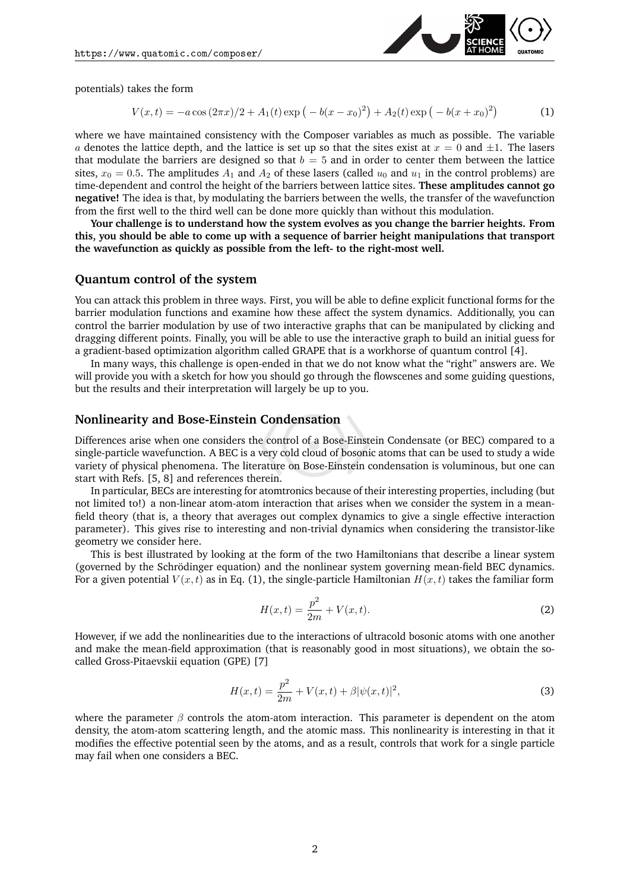

potentials) takes the form

<span id="page-1-0"></span>
$$
V(x,t) = -a\cos(2\pi x)/2 + A_1(t)\exp(-b(x-x_0)^2) + A_2(t)\exp(-b(x+x_0)^2)
$$
 (1)

where we have maintained consistency with the Composer variables as much as possible. The variable a denotes the lattice depth, and the lattice is set up so that the sites exist at  $x = 0$  and  $\pm 1$ . The lasers that modulate the barriers are designed so that  $b = 5$  and in order to center them between the lattice sites,  $x_0 = 0.5$ . The amplitudes  $A_1$  and  $A_2$  of these lasers (called  $u_0$  and  $u_1$  in the control problems) are time-dependent and control the height of the barriers between lattice sites. **These amplitudes cannot go negative!** The idea is that, by modulating the barriers between the wells, the transfer of the wavefunction from the first well to the third well can be done more quickly than without this modulation.

**Your challenge is to understand how the system evolves as you change the barrier heights. From this, you should be able to come up with a sequence of barrier height manipulations that transport the wavefunction as quickly as possible from the left- to the right-most well.**

#### **Quantum control of the system**

You can attack this problem in three ways. First, you will be able to define explicit functional forms for the barrier modulation functions and examine how these affect the system dynamics. Additionally, you can control the barrier modulation by use of two interactive graphs that can be manipulated by clicking and dragging different points. Finally, you will be able to use the interactive graph to build an initial guess for a gradient-based optimization algorithm called GRAPE that is a workhorse of quantum control [\[4\]](#page-3-4).

In many ways, this challenge is open-ended in that we do not know what the "right" answers are. We will provide you with a sketch for how you should go through the flowscenes and some guiding questions, but the results and their interpretation will largely be up to you.

#### **Nonlinearity and Bose-Einstein Condensation**

Differences arise when one considers the control of a Bose-Einstein Condensate (or BEC) compared to a single-particle wavefunction. A BEC is a very cold cloud of bosonic atoms that can be used to study a wide variety of physical phenomena. The literature on Bose-Einstein condensation is voluminous, but one can start with Refs. [\[5,](#page-3-5) [8\]](#page-4-0) and references therein.

In particular, BECs are interesting for atomtronics because of their interesting properties, including (but not limited to!) a non-linear atom-atom interaction that arises when we consider the system in a meanfield theory (that is, a theory that averages out complex dynamics to give a single effective interaction parameter). This gives rise to interesting and non-trivial dynamics when considering the transistor-like geometry we consider here.

This is best illustrated by looking at the form of the two Hamiltonians that describe a linear system (governed by the Schrödinger equation) and the nonlinear system governing mean-field BEC dynamics. For a given potential  $V(x, t)$  as in Eq. [\(1\)](#page-1-0), the single-particle Hamiltonian  $H(x, t)$  takes the familiar form

<span id="page-1-1"></span>
$$
H(x,t) = \frac{p^2}{2m} + V(x,t).
$$
 (2)

However, if we add the nonlinearities due to the interactions of ultracold bosonic atoms with one another and make the mean-field approximation (that is reasonably good in most situations), we obtain the socalled Gross-Pitaevskii equation (GPE) [\[7\]](#page-4-1)

<span id="page-1-2"></span>
$$
H(x,t) = \frac{p^2}{2m} + V(x,t) + \beta |\psi(x,t)|^2,
$$
\n(3)

where the parameter  $\beta$  controls the atom-atom interaction. This parameter is dependent on the atom density, the atom-atom scattering length, and the atomic mass. This nonlinearity is interesting in that it modifies the effective potential seen by the atoms, and as a result, controls that work for a single particle may fail when one considers a BEC.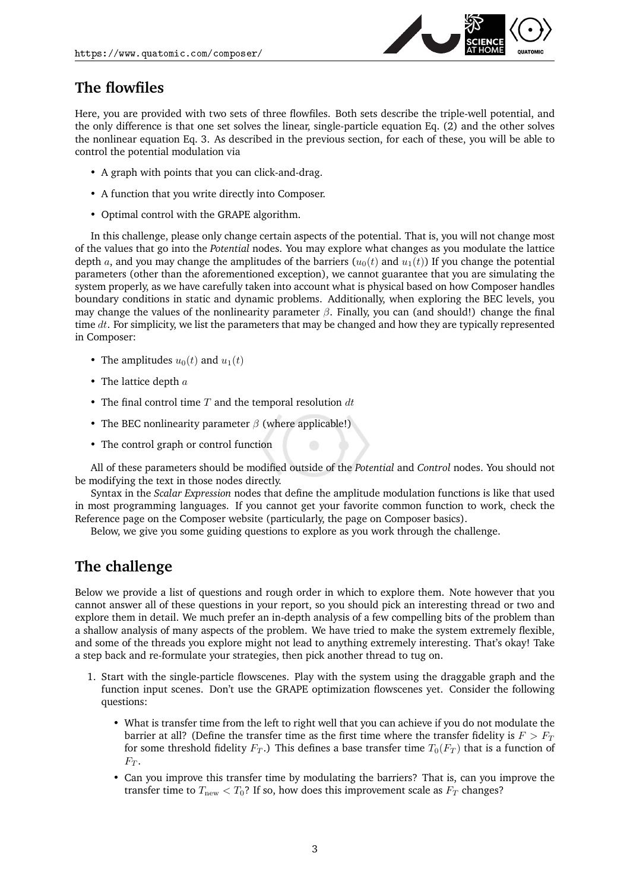

## **The flowfiles**

Here, you are provided with two sets of three flowfiles. Both sets describe the triple-well potential, and the only difference is that one set solves the linear, single-particle equation Eq. [\(2\)](#page-1-1) and the other solves the nonlinear equation Eq. [3.](#page-1-2) As described in the previous section, for each of these, you will be able to control the potential modulation via

- A graph with points that you can click-and-drag.
- A function that you write directly into Composer.
- Optimal control with the GRAPE algorithm.

In this challenge, please only change certain aspects of the potential. That is, you will not change most of the values that go into the *Potential* nodes. You may explore what changes as you modulate the lattice depth a, and you may change the amplitudes of the barriers  $(u_0(t)$  and  $u_1(t)$ ) If you change the potential parameters (other than the aforementioned exception), we cannot guarantee that you are simulating the system properly, as we have carefully taken into account what is physical based on how Composer handles boundary conditions in static and dynamic problems. Additionally, when exploring the BEC levels, you may change the values of the nonlinearity parameter  $\beta$ . Finally, you can (and should!) change the final time  $dt$ . For simplicity, we list the parameters that may be changed and how they are typically represented in Composer:

- The amplitudes  $u_0(t)$  and  $u_1(t)$
- The lattice depth  $a$
- The final control time  $T$  and the temporal resolution  $dt$
- The BEC nonlinearity parameter  $\beta$  (where applicable!)
- The control graph or control function

All of these parameters should be modified outside of the *Potential* and *Control* nodes. You should not be modifying the text in those nodes directly.

Syntax in the *Scalar Expression* nodes that define the amplitude modulation functions is like that used in most programming languages. If you cannot get your favorite common function to work, check the Reference page on the Composer website (particularly, the page on Composer basics).

Below, we give you some guiding questions to explore as you work through the challenge.

## **The challenge**

Below we provide a list of questions and rough order in which to explore them. Note however that you cannot answer all of these questions in your report, so you should pick an interesting thread or two and explore them in detail. We much prefer an in-depth analysis of a few compelling bits of the problem than a shallow analysis of many aspects of the problem. We have tried to make the system extremely flexible, and some of the threads you explore might not lead to anything extremely interesting. That's okay! Take a step back and re-formulate your strategies, then pick another thread to tug on.

- 1. Start with the single-particle flowscenes. Play with the system using the draggable graph and the function input scenes. Don't use the GRAPE optimization flowscenes yet. Consider the following questions:
	- What is transfer time from the left to right well that you can achieve if you do not modulate the barrier at all? (Define the transfer time as the first time where the transfer fidelity is  $F > F_T$ for some threshold fidelity  $F_T$ .) This defines a base transfer time  $T_0(F_T)$  that is a function of  $F_T$ .
	- Can you improve this transfer time by modulating the barriers? That is, can you improve the transfer time to  $T_{\text{new}} < T_0$ ? If so, how does this improvement scale as  $F_T$  changes?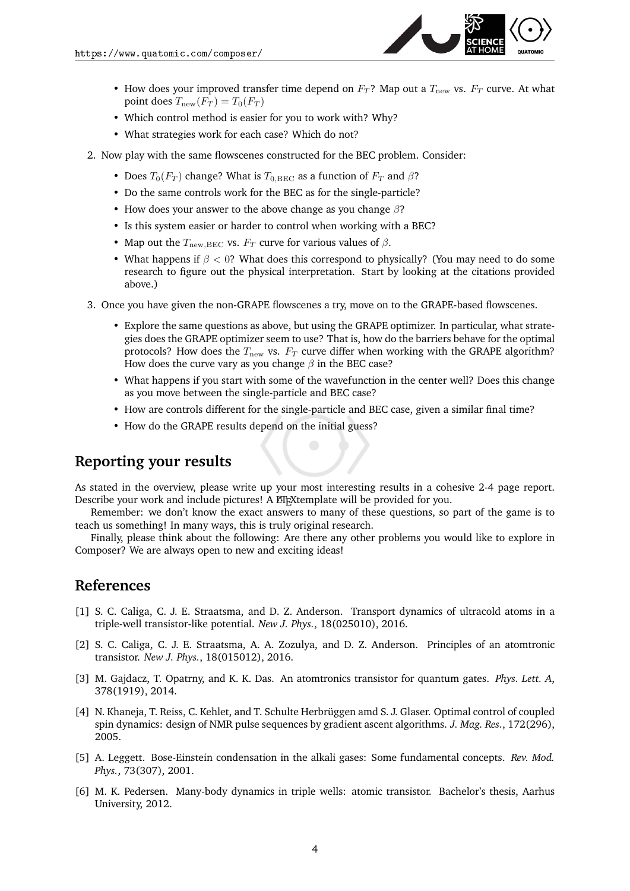

- How does your improved transfer time depend on  $F_T$ ? Map out a  $T_{\text{new}}$  vs.  $F_T$  curve. At what point does  $T_{\text{new}}(F_T) = T_0(F_T)$
- Which control method is easier for you to work with? Why?
- What strategies work for each case? Which do not?
- 2. Now play with the same flowscenes constructed for the BEC problem. Consider:
	- Does  $T_0(F_T)$  change? What is  $T_{0,\text{BEC}}$  as a function of  $F_T$  and  $\beta$ ?
	- Do the same controls work for the BEC as for the single-particle?
	- How does your answer to the above change as you change  $\beta$ ?
	- Is this system easier or harder to control when working with a BEC?
	- Map out the  $T_{\text{new,BEC}}$  vs.  $F_T$  curve for various values of  $\beta$ .
	- What happens if  $\beta$  < 0? What does this correspond to physically? (You may need to do some research to figure out the physical interpretation. Start by looking at the citations provided above.)
- 3. Once you have given the non-GRAPE flowscenes a try, move on to the GRAPE-based flowscenes.
	- Explore the same questions as above, but using the GRAPE optimizer. In particular, what strategies does the GRAPE optimizer seem to use? That is, how do the barriers behave for the optimal protocols? How does the  $T_{\text{new}}$  vs.  $F_T$  curve differ when working with the GRAPE algorithm? How does the curve vary as you change  $\beta$  in the BEC case?
	- What happens if you start with some of the wavefunction in the center well? Does this change as you move between the single-particle and BEC case?
	- How are controls different for the single-particle and BEC case, given a similar final time?
	- How do the GRAPE results depend on the initial guess?

### **Reporting your results**

As stated in the overview, please write up your most interesting results in a cohesive 2-4 page report. Describe your work and include pictures! A EFXtemplate will be provided for you.

Remember: we don't know the exact answers to many of these questions, so part of the game is to teach us something! In many ways, this is truly original research.

Finally, please think about the following: Are there any other problems you would like to explore in Composer? We are always open to new and exciting ideas!

## **References**

- <span id="page-3-0"></span>[1] S. C. Caliga, C. J. E. Straatsma, and D. Z. Anderson. Transport dynamics of ultracold atoms in a triple-well transistor-like potential. *New J. Phys.*, 18(025010), 2016.
- <span id="page-3-1"></span>[2] S. C. Caliga, C. J. E. Straatsma, A. A. Zozulya, and D. Z. Anderson. Principles of an atomtronic transistor. *New J. Phys.*, 18(015012), 2016.
- <span id="page-3-2"></span>[3] M. Gajdacz, T. Opatrny, and K. K. Das. An atomtronics transistor for quantum gates. *Phys. Lett. A*, 378(1919), 2014.
- <span id="page-3-4"></span>[4] N. Khaneja, T. Reiss, C. Kehlet, and T. Schulte Herbrüggen amd S. J. Glaser. Optimal control of coupled spin dynamics: design of NMR pulse sequences by gradient ascent algorithms. *J. Mag. Res.*, 172(296), 2005.
- <span id="page-3-5"></span>[5] A. Leggett. Bose-Einstein condensation in the alkali gases: Some fundamental concepts. *Rev. Mod. Phys.*, 73(307), 2001.
- <span id="page-3-3"></span>[6] M. K. Pedersen. Many-body dynamics in triple wells: atomic transistor. Bachelor's thesis, Aarhus University, 2012.